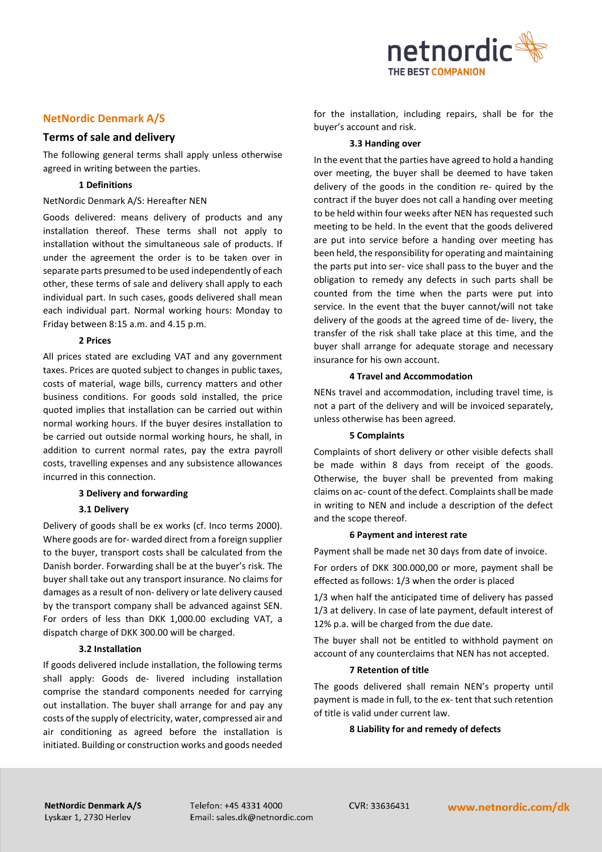

# **NetNordic Denmark A/S**

# **Terms of sale and delivery**

The following general terms shall apply unless otherwise agreed in writing between the parties.

# **1 Definitions**

### NetNordic Denmark A/S: Hereafter NEN

Goods delivered: means delivery of products and any installation thereof. These terms shall not apply to installation without the simultaneous sale of products. If under the agreement the order is to be taken over in separate parts presumed to be used independently of each other, these terms of sale and delivery shall apply to each individual part. In such cases, goods delivered shall mean each individual part. Normal working hours: Monday to Friday between 8:15 a.m. and 4.15 p.m.

# **2 Prices**

All prices stated are excluding VAT and any government taxes. Prices are quoted subject to changes in public taxes, costs of material, wage bills, currency matters and other business conditions. For goods sold installed, the price quoted implies that installation can be carried out within normal working hours. If the buyer desires installation to be carried out outside normal working hours, he shall, in addition to current normal rates, pay the extra payroll costs, travelling expenses and any subsistence allowances incurred in this connection.

# **3 Delivery and forwarding**

## **3.1 Delivery**

Delivery of goods shall be ex works (cf. Inco terms 2000). Where goods are for- warded direct from a foreign supplier to the buyer, transport costs shall be calculated from the Danish border. Forwarding shall be at the buyer's risk. The buyer shall take out any transport insurance. No claims for damages as a result of non- delivery or late delivery caused by the transport company shall be advanced against SEN. For orders of less than DKK 1,000.00 excluding VAT, a dispatch charge of DKK 300.00 will be charged.

## **3.2 Installation**

If goods delivered include installation, the following terms shall apply: Goods de- livered including installation comprise the standard components needed for carrying out installation. The buyer shall arrange for and pay any costs of the supply of electricity, water, compressed air and air conditioning as agreed before the installation is initiated. Building or construction works and goods needed for the installation, including repairs, shall be for the buyer's account and risk.

### **3.3 Handing over**

In the event that the parties have agreed to hold a handing over meeting, the buyer shall be deemed to have taken delivery of the goods in the condition re- quired by the contract if the buyer does not call a handing over meeting to be held within four weeks after NEN has requested such meeting to be held. In the event that the goods delivered are put into service before a handing over meeting has been held, the responsibility for operating and maintaining the parts put into ser- vice shall pass to the buyer and the obligation to remedy any defects in such parts shall be counted from the time when the parts were put into service. In the event that the buyer cannot/will not take delivery of the goods at the agreed time of de- livery, the transfer of the risk shall take place at this time, and the buyer shall arrange for adequate storage and necessary insurance for his own account.

#### **4 Travel and Accommodation**

NENs travel and accommodation, including travel time, is not a part of the delivery and will be invoiced separately, unless otherwise has been agreed.

## **5 Complaints**

Complaints of short delivery or other visible defects shall be made within 8 days from receipt of the goods. Otherwise, the buyer shall be prevented from making claims on ac- count of the defect. Complaints shall be made in writing to NEN and include a description of the defect and the scope thereof.

#### **6 Payment and interest rate**

Payment shall be made net 30 days from date of invoice.

For orders of DKK 300.000,00 or more, payment shall be effected as follows: 1/3 when the order is placed

1/3 when half the anticipated time of delivery has passed 1/3 at delivery. In case of late payment, default interest of 12% p.a. will be charged from the due date.

The buyer shall not be entitled to withhold payment on account of any counterclaims that NEN has not accepted.

## **7 Retention of title**

The goods delivered shall remain NEN's property until payment is made in full, to the ex- tent that such retention of title is valid under current law.

## **8 Liability for and remedy of defects**